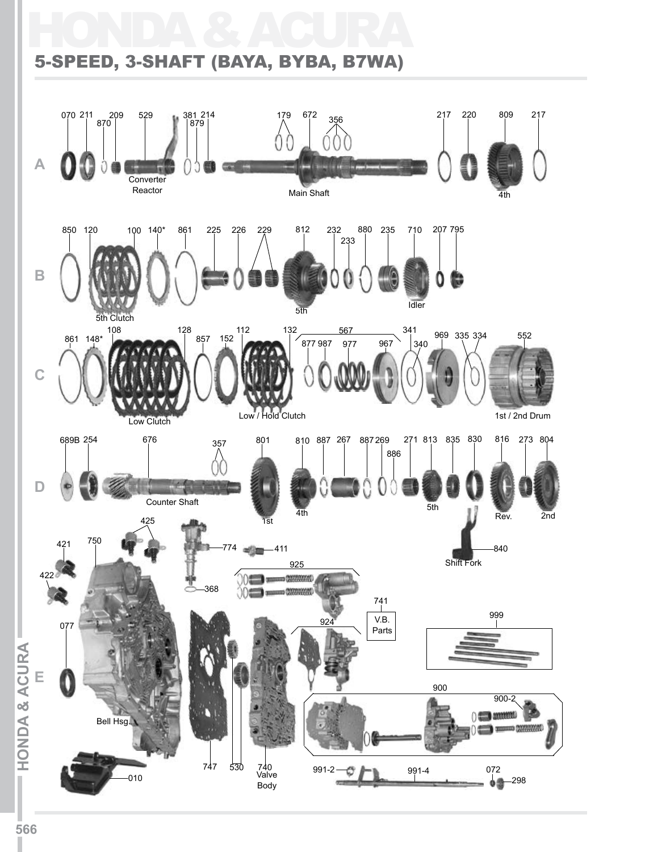### HONDA & ACURA 5-SPEED, 3-SHAFT (BAYA, BYBA, B7WA)

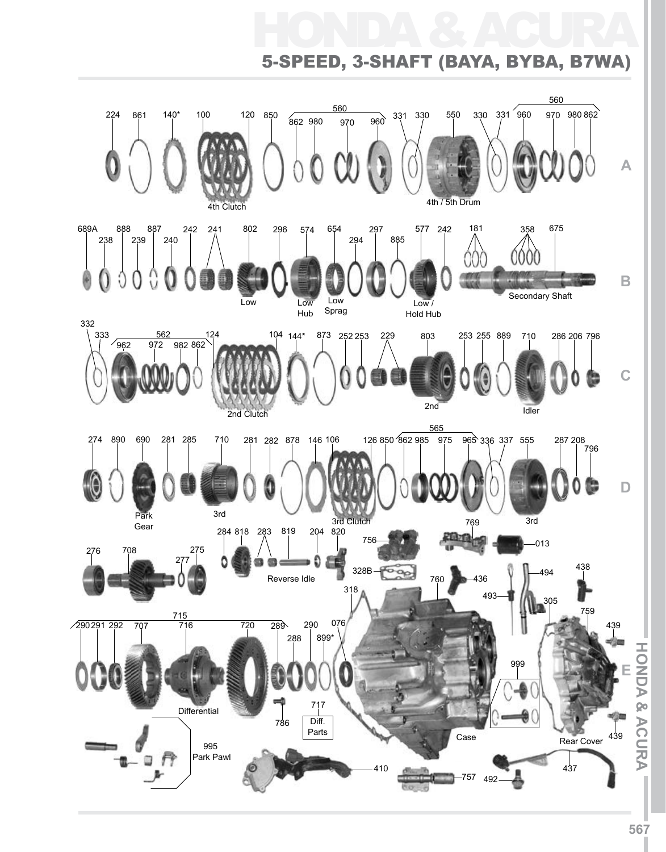# HONDA & ACURA 5-Speed, 3-Shaft (BAYA, BYBA, B7WA)

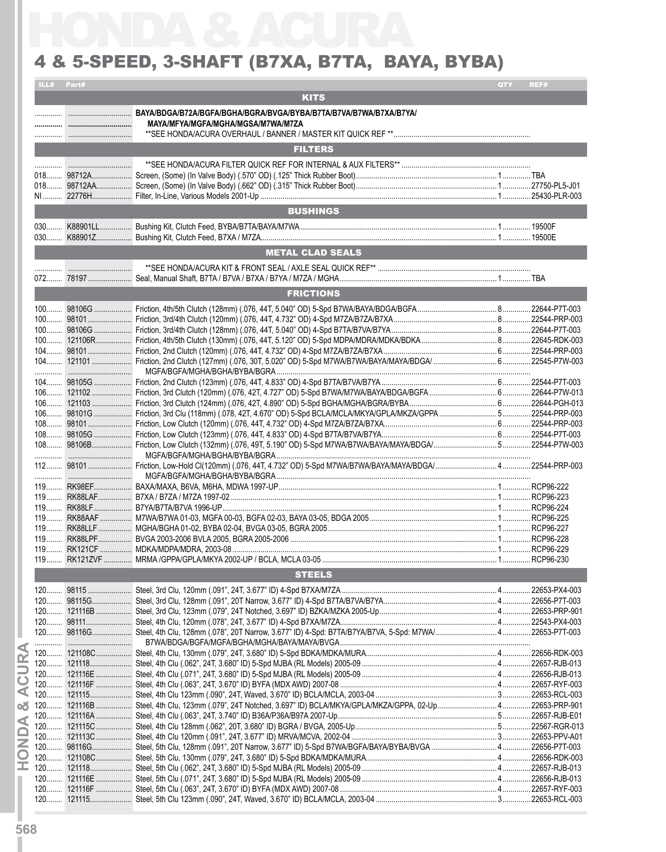### 4 & 5-SPEED, 3-SHAFT (B7XA, B7TA, BAYA, BYBA)

|       | ILL# Part#    |                                    | QTY | REF#      |
|-------|---------------|------------------------------------|-----|-----------|
|       |               | <b>KITS</b>                        |     |           |
|       |               |                                    |     |           |
|       |               | MAYA/MFYA/MGFA/MGHA/MGSA/M7WA/M7ZA |     |           |
|       |               |                                    |     |           |
|       |               | <b>FILTERS</b>                     |     |           |
|       |               |                                    |     |           |
|       |               |                                    |     |           |
|       |               |                                    |     |           |
|       |               | <b>BUSHINGS</b>                    |     |           |
|       |               |                                    |     |           |
|       |               |                                    |     |           |
|       |               | <b>METAL CLAD SEALS</b>            |     |           |
|       |               |                                    |     |           |
|       |               |                                    |     |           |
|       |               | <b>FRICTIONS</b>                   |     |           |
|       |               |                                    |     |           |
|       |               |                                    |     |           |
|       |               |                                    |     |           |
|       |               |                                    |     |           |
|       |               |                                    |     |           |
|       |               |                                    |     |           |
|       |               |                                    |     |           |
|       |               |                                    |     |           |
|       |               |                                    |     |           |
|       |               |                                    |     |           |
|       |               |                                    |     |           |
|       |               |                                    |     |           |
|       |               |                                    |     |           |
|       |               |                                    |     |           |
| $119$ | RK88LAF.<br>. | B7XA / B7ZA / M7ZA 1997-02         |     | RCP96-223 |
|       |               |                                    |     |           |
|       |               |                                    |     |           |
|       |               |                                    |     |           |
|       |               |                                    |     |           |
|       |               |                                    |     |           |
|       |               | <b>STEELS</b>                      |     |           |
|       |               |                                    |     |           |
|       |               |                                    |     |           |
|       |               |                                    |     |           |
|       |               |                                    |     |           |
|       |               |                                    |     |           |
|       |               |                                    |     |           |
|       |               |                                    |     |           |
|       |               |                                    |     |           |
|       |               |                                    |     |           |
|       |               |                                    |     |           |
|       |               |                                    |     |           |
|       |               |                                    |     |           |
|       |               |                                    |     |           |
|       |               |                                    |     |           |
|       |               |                                    |     |           |
|       |               |                                    |     |           |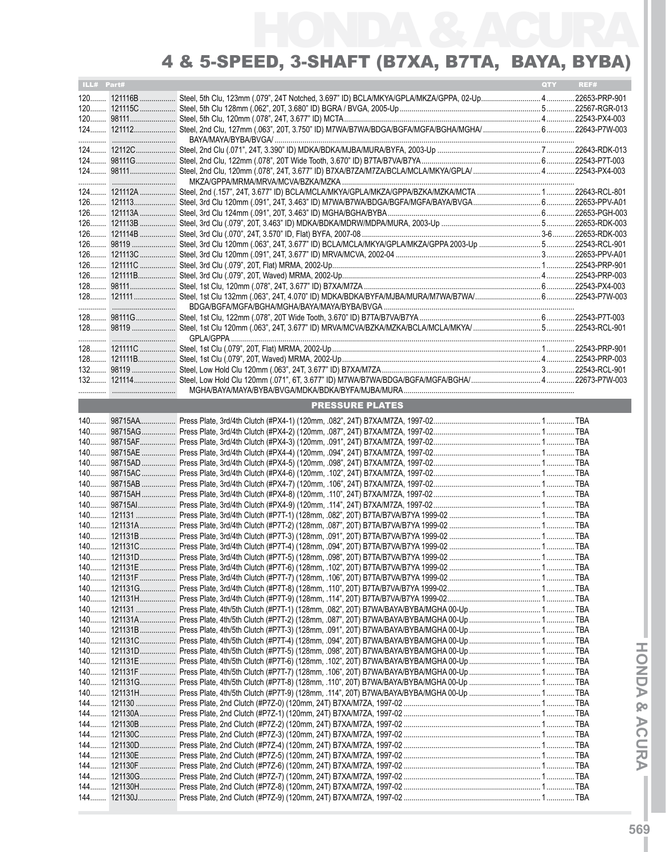| ILL# Part# |                        | QTY REF# |  |
|------------|------------------------|----------|--|
|            |                        |          |  |
|            |                        |          |  |
|            |                        |          |  |
|            |                        |          |  |
|            |                        |          |  |
|            |                        |          |  |
|            |                        |          |  |
|            |                        |          |  |
|            |                        |          |  |
|            |                        |          |  |
|            |                        |          |  |
|            |                        |          |  |
|            |                        |          |  |
|            |                        |          |  |
|            |                        |          |  |
|            |                        |          |  |
|            |                        |          |  |
|            |                        |          |  |
|            |                        |          |  |
|            |                        |          |  |
|            |                        |          |  |
|            |                        |          |  |
|            |                        |          |  |
|            |                        |          |  |
|            |                        |          |  |
|            |                        |          |  |
|            |                        |          |  |
|            |                        |          |  |
|            |                        |          |  |
|            |                        |          |  |
|            | <b>PRESSURE PLATES</b> |          |  |
|            |                        |          |  |
|            |                        |          |  |
|            |                        |          |  |
|            |                        |          |  |
|            |                        |          |  |
|            |                        |          |  |
|            |                        |          |  |
|            |                        |          |  |
|            |                        |          |  |
|            |                        |          |  |
|            |                        |          |  |
|            |                        |          |  |
|            |                        |          |  |
|            |                        |          |  |
|            |                        |          |  |
|            |                        |          |  |
|            |                        |          |  |
|            |                        |          |  |
|            |                        |          |  |
|            |                        |          |  |
|            |                        |          |  |
|            |                        |          |  |
|            |                        |          |  |
|            |                        |          |  |
|            |                        |          |  |
|            |                        |          |  |
|            |                        |          |  |
|            |                        |          |  |
|            |                        |          |  |
|            |                        |          |  |
|            |                        |          |  |
|            |                        |          |  |
|            |                        |          |  |
|            |                        |          |  |
|            |                        |          |  |
|            |                        |          |  |
|            |                        |          |  |
|            |                        |          |  |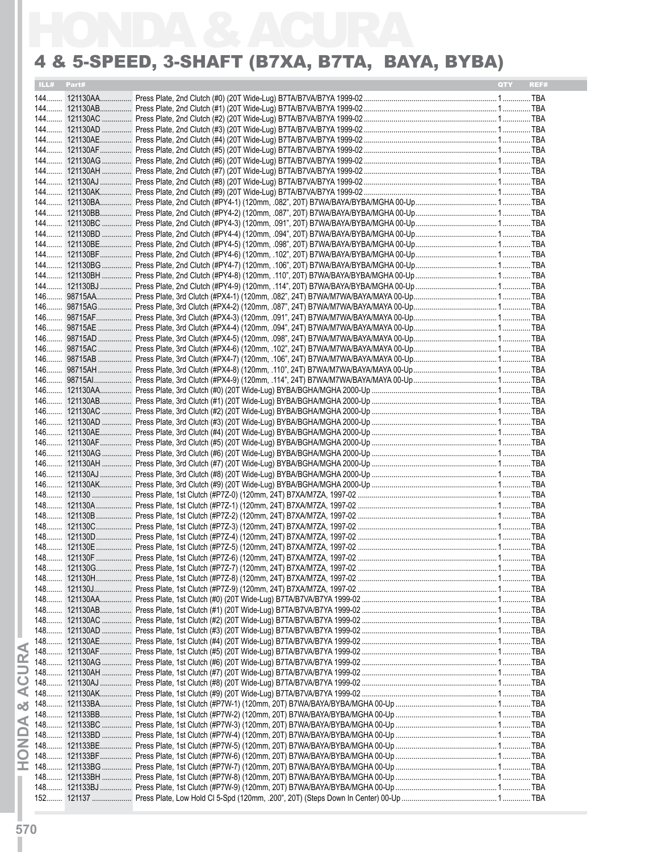|       | ILL# Part# | <b>QTY</b> | REF# |
|-------|------------|------------|------|
|       |            |            |      |
|       |            |            |      |
|       |            |            |      |
|       |            |            |      |
|       |            |            |      |
|       |            |            |      |
|       |            |            |      |
|       |            |            |      |
|       |            |            |      |
|       |            |            |      |
|       |            |            |      |
|       |            |            |      |
|       |            |            |      |
|       |            |            |      |
|       |            |            |      |
|       |            |            |      |
|       |            |            |      |
|       |            |            |      |
|       |            |            |      |
|       |            |            |      |
|       |            |            |      |
|       |            |            |      |
|       |            |            |      |
|       |            |            |      |
|       |            |            |      |
|       |            |            |      |
|       |            |            |      |
|       |            |            |      |
|       |            |            |      |
|       |            |            |      |
|       |            |            |      |
|       |            |            |      |
|       |            |            |      |
|       |            |            |      |
|       |            |            |      |
|       |            |            |      |
|       |            |            |      |
|       |            |            |      |
|       |            |            |      |
|       |            |            |      |
|       |            |            |      |
|       |            |            |      |
|       |            |            |      |
|       |            |            |      |
|       |            |            |      |
|       |            |            |      |
|       |            |            |      |
|       |            |            |      |
|       |            |            |      |
|       |            |            |      |
|       |            |            |      |
|       |            |            |      |
|       |            |            |      |
|       |            |            |      |
|       |            |            |      |
| 148   |            |            |      |
|       |            |            |      |
|       |            |            |      |
|       |            |            |      |
|       |            |            |      |
| 148   |            |            |      |
|       |            |            |      |
| $148$ |            |            |      |
|       |            |            |      |
|       |            |            |      |
| $148$ |            |            |      |
|       |            |            |      |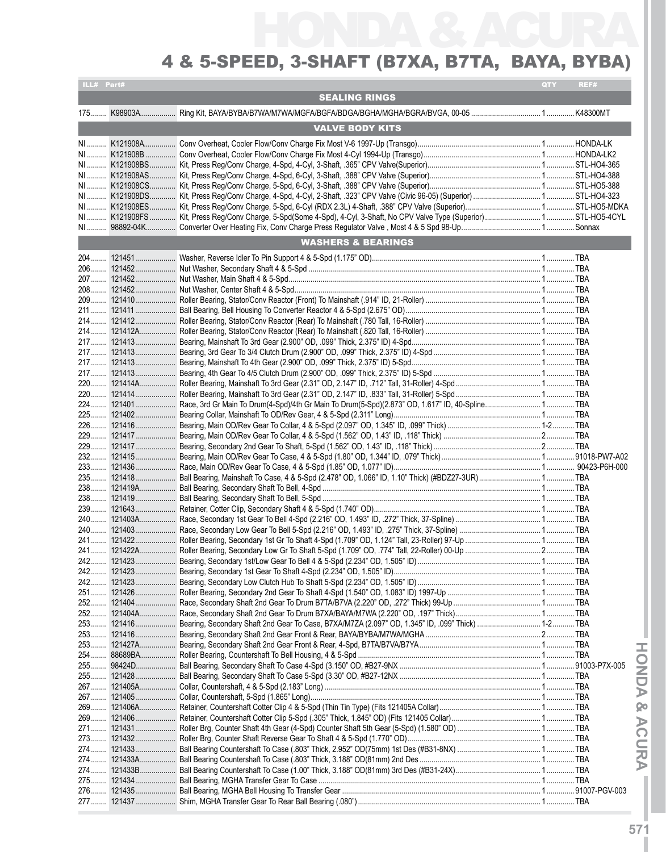| ILL# Part# |                               | <b>QTY</b> | REF# |
|------------|-------------------------------|------------|------|
|            | <b>SEALING RINGS</b>          |            |      |
|            |                               |            |      |
|            |                               |            |      |
|            | <b>VALVE BODY KITS</b>        |            |      |
|            |                               |            |      |
|            |                               |            |      |
|            |                               |            |      |
|            |                               |            |      |
|            |                               |            |      |
|            |                               |            |      |
|            |                               |            |      |
|            |                               |            |      |
|            |                               |            |      |
|            |                               |            |      |
|            |                               |            |      |
|            | <b>WASHERS &amp; BEARINGS</b> |            |      |
|            |                               |            |      |
|            |                               |            |      |
|            |                               |            |      |
|            |                               |            |      |
|            |                               |            |      |
|            |                               |            |      |
|            |                               |            |      |
|            |                               |            |      |
|            |                               |            |      |
|            |                               |            |      |
|            |                               |            |      |
|            |                               |            |      |
|            |                               |            |      |
|            |                               |            |      |
|            |                               |            |      |
|            |                               |            |      |
|            |                               |            |      |
|            |                               |            |      |
|            |                               |            |      |
|            |                               |            |      |
|            |                               |            |      |
|            |                               |            |      |
|            |                               |            |      |
|            |                               |            |      |
|            |                               |            |      |
|            |                               |            |      |
|            |                               |            |      |
|            |                               |            |      |
|            |                               |            |      |
|            |                               |            |      |
|            |                               |            |      |
|            |                               |            |      |
|            |                               |            |      |
|            |                               |            |      |
|            |                               |            |      |
|            |                               |            |      |
|            |                               |            |      |
| 253        |                               |            |      |
| 253        |                               |            |      |
|            |                               |            |      |
|            |                               |            |      |
|            |                               |            |      |
| 255        |                               |            |      |
| 267        |                               |            |      |
|            |                               |            |      |
|            |                               |            |      |
|            |                               |            |      |
|            |                               |            |      |
|            |                               |            |      |
| 273        |                               |            |      |
|            |                               |            |      |
|            |                               |            |      |
| 274        |                               |            |      |
| 275        |                               |            |      |
| 276        |                               |            |      |
|            |                               |            |      |

**IHON D A & ACURAI**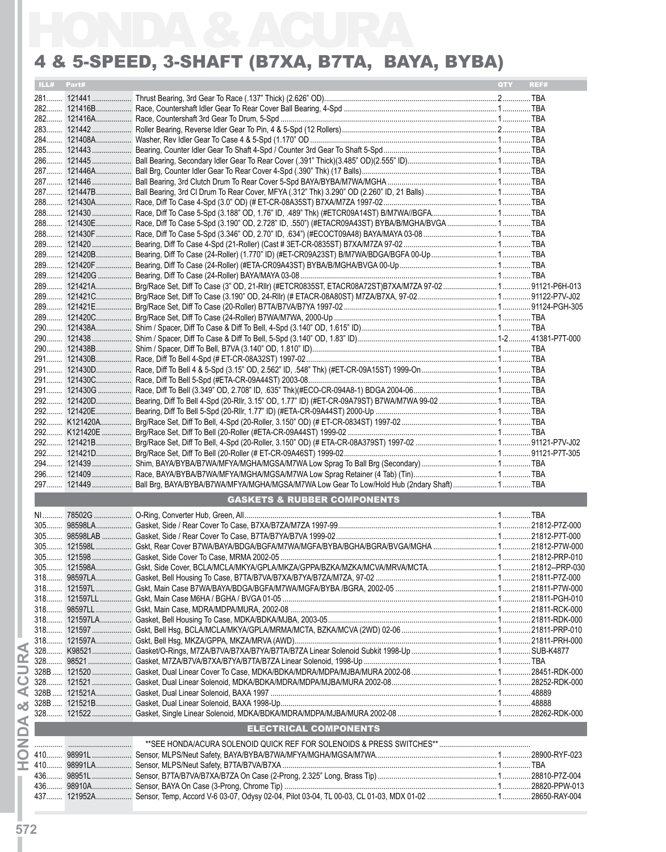|        | ILL# Part# |                                                                                                      | REF# |
|--------|------------|------------------------------------------------------------------------------------------------------|------|
|        |            |                                                                                                      |      |
|        |            |                                                                                                      |      |
|        |            |                                                                                                      |      |
|        |            |                                                                                                      |      |
|        |            |                                                                                                      |      |
|        |            |                                                                                                      |      |
|        |            |                                                                                                      |      |
|        |            |                                                                                                      |      |
|        |            |                                                                                                      |      |
|        |            |                                                                                                      |      |
|        |            |                                                                                                      |      |
|        |            |                                                                                                      |      |
|        |            |                                                                                                      |      |
|        |            |                                                                                                      |      |
|        |            |                                                                                                      |      |
|        |            |                                                                                                      |      |
|        |            |                                                                                                      |      |
|        |            |                                                                                                      |      |
|        |            |                                                                                                      |      |
|        |            |                                                                                                      |      |
|        |            |                                                                                                      |      |
|        |            |                                                                                                      |      |
|        |            |                                                                                                      |      |
|        |            |                                                                                                      |      |
|        |            |                                                                                                      |      |
|        |            |                                                                                                      |      |
|        |            |                                                                                                      |      |
|        |            |                                                                                                      |      |
|        |            |                                                                                                      |      |
|        |            |                                                                                                      |      |
|        |            |                                                                                                      |      |
|        |            |                                                                                                      |      |
|        |            |                                                                                                      |      |
|        |            | 297 121449  Ball Brg, BAYA/BYBA/B7WA/MFYA/MGHA/MGSA/M7WA Low Gear To Low/Hold Hub (2ndary Shaft) TBA |      |
|        |            | <b>GASKETS &amp; RUBBER COMPONENTS</b>                                                               |      |
|        |            |                                                                                                      |      |
|        |            |                                                                                                      |      |
|        |            |                                                                                                      |      |
|        |            |                                                                                                      |      |
|        |            |                                                                                                      |      |
|        |            |                                                                                                      |      |
|        |            |                                                                                                      |      |
|        |            |                                                                                                      |      |
|        |            |                                                                                                      |      |
|        |            |                                                                                                      |      |
|        |            |                                                                                                      |      |
|        |            |                                                                                                      |      |
|        |            |                                                                                                      |      |
|        |            |                                                                                                      |      |
|        |            |                                                                                                      |      |
| 328B   |            |                                                                                                      |      |
| $328B$ |            |                                                                                                      |      |
|        |            |                                                                                                      |      |
|        |            | <b>ELECTRICAL COMPONENTS</b>                                                                         |      |
|        |            |                                                                                                      |      |
|        |            |                                                                                                      |      |
|        |            |                                                                                                      |      |
|        |            |                                                                                                      |      |
|        |            |                                                                                                      |      |

**IHON D A &**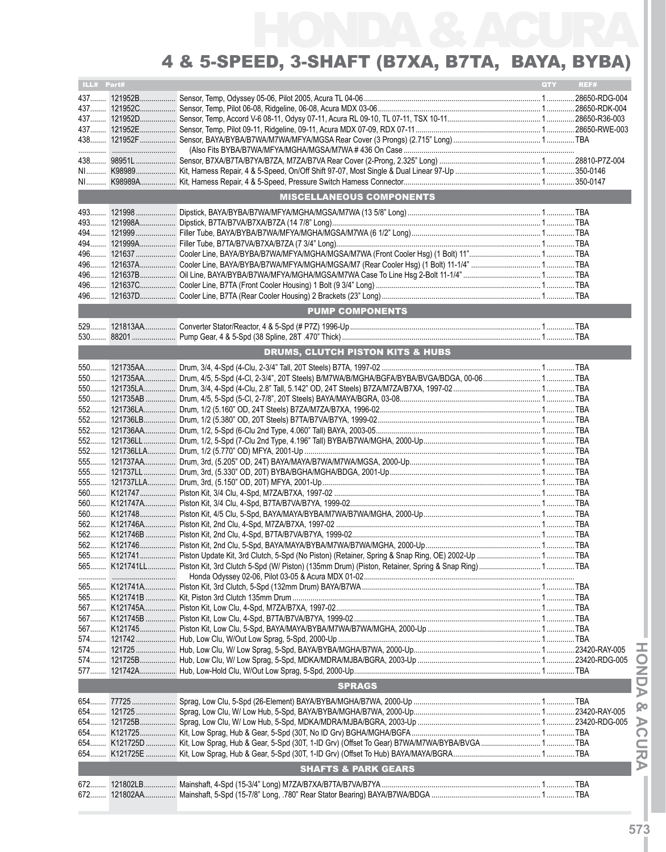|     | ILL# Part#<br>QTY<br>REF# |                                             |  |  |  |  |
|-----|---------------------------|---------------------------------------------|--|--|--|--|
|     |                           |                                             |  |  |  |  |
|     |                           |                                             |  |  |  |  |
|     |                           |                                             |  |  |  |  |
|     |                           |                                             |  |  |  |  |
|     |                           |                                             |  |  |  |  |
|     |                           |                                             |  |  |  |  |
|     |                           |                                             |  |  |  |  |
|     |                           |                                             |  |  |  |  |
|     |                           |                                             |  |  |  |  |
|     |                           | <b>MISCELLANEOUS COMPONENTS</b>             |  |  |  |  |
|     |                           |                                             |  |  |  |  |
|     |                           |                                             |  |  |  |  |
|     |                           |                                             |  |  |  |  |
|     |                           |                                             |  |  |  |  |
|     |                           |                                             |  |  |  |  |
| 496 |                           |                                             |  |  |  |  |
| 496 |                           |                                             |  |  |  |  |
|     |                           |                                             |  |  |  |  |
|     |                           |                                             |  |  |  |  |
|     |                           | <b>PUMP COMPONENTS</b>                      |  |  |  |  |
|     |                           |                                             |  |  |  |  |
|     |                           |                                             |  |  |  |  |
|     |                           |                                             |  |  |  |  |
|     |                           | <b>DRUMS, CLUTCH PISTON KITS &amp; HUBS</b> |  |  |  |  |
|     |                           |                                             |  |  |  |  |
|     |                           |                                             |  |  |  |  |
|     |                           |                                             |  |  |  |  |
|     |                           |                                             |  |  |  |  |
|     |                           |                                             |  |  |  |  |
|     |                           |                                             |  |  |  |  |
|     |                           |                                             |  |  |  |  |
|     |                           |                                             |  |  |  |  |
|     |                           |                                             |  |  |  |  |
|     |                           |                                             |  |  |  |  |
|     |                           |                                             |  |  |  |  |
|     |                           |                                             |  |  |  |  |
|     |                           |                                             |  |  |  |  |
|     |                           |                                             |  |  |  |  |
|     |                           |                                             |  |  |  |  |
|     |                           |                                             |  |  |  |  |
|     |                           |                                             |  |  |  |  |
|     |                           |                                             |  |  |  |  |
|     |                           |                                             |  |  |  |  |
|     |                           |                                             |  |  |  |  |
|     |                           |                                             |  |  |  |  |
|     |                           |                                             |  |  |  |  |
|     |                           |                                             |  |  |  |  |
|     |                           |                                             |  |  |  |  |
|     |                           |                                             |  |  |  |  |
|     |                           |                                             |  |  |  |  |
|     |                           |                                             |  |  |  |  |
|     |                           |                                             |  |  |  |  |
| 574 |                           |                                             |  |  |  |  |
|     |                           |                                             |  |  |  |  |
|     |                           | <b>SPRAGS</b>                               |  |  |  |  |
|     |                           |                                             |  |  |  |  |
|     |                           |                                             |  |  |  |  |
|     |                           |                                             |  |  |  |  |
|     |                           |                                             |  |  |  |  |
|     |                           |                                             |  |  |  |  |
|     |                           |                                             |  |  |  |  |
|     |                           | <b>SHAFTS &amp; PARK GEARS</b>              |  |  |  |  |
|     |                           |                                             |  |  |  |  |
|     |                           |                                             |  |  |  |  |
|     |                           |                                             |  |  |  |  |

**IHON D A & ACURAI**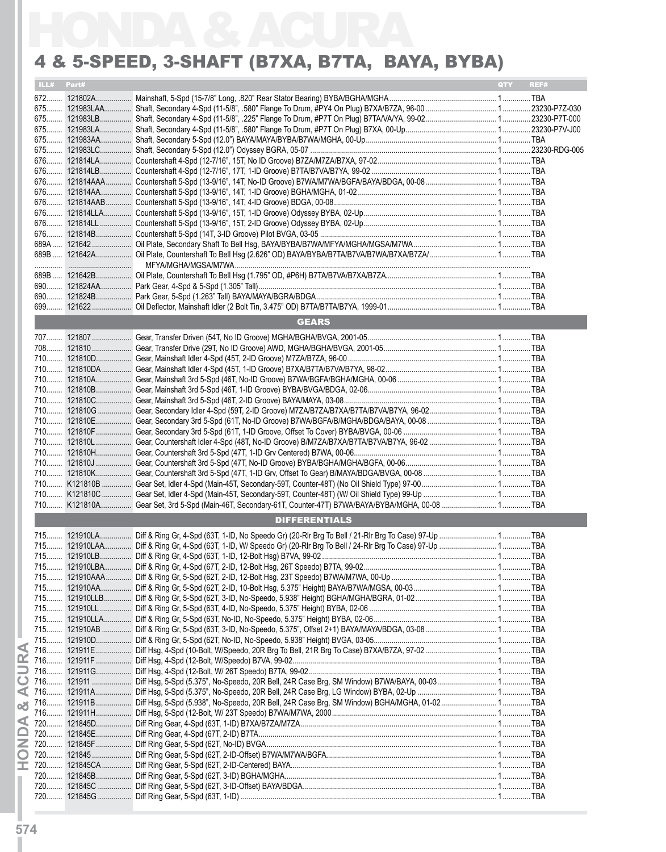|       | ILL# Part# |                                                                                                                   | <b>OTY</b><br>REF# |
|-------|------------|-------------------------------------------------------------------------------------------------------------------|--------------------|
|       |            |                                                                                                                   |                    |
|       |            |                                                                                                                   |                    |
|       |            |                                                                                                                   |                    |
|       |            |                                                                                                                   |                    |
|       |            |                                                                                                                   |                    |
|       |            |                                                                                                                   |                    |
|       |            |                                                                                                                   |                    |
|       |            |                                                                                                                   |                    |
|       |            |                                                                                                                   |                    |
|       |            |                                                                                                                   |                    |
|       |            |                                                                                                                   |                    |
|       |            |                                                                                                                   |                    |
|       |            |                                                                                                                   |                    |
|       |            |                                                                                                                   |                    |
|       |            |                                                                                                                   |                    |
|       |            |                                                                                                                   |                    |
|       |            |                                                                                                                   |                    |
|       |            |                                                                                                                   |                    |
|       |            |                                                                                                                   |                    |
|       |            |                                                                                                                   |                    |
|       |            |                                                                                                                   |                    |
|       |            | <b>GEARS</b>                                                                                                      |                    |
|       |            |                                                                                                                   |                    |
|       |            |                                                                                                                   |                    |
|       |            |                                                                                                                   |                    |
|       |            |                                                                                                                   |                    |
|       |            |                                                                                                                   |                    |
|       |            |                                                                                                                   |                    |
|       |            |                                                                                                                   |                    |
|       |            |                                                                                                                   |                    |
|       |            |                                                                                                                   |                    |
|       |            |                                                                                                                   |                    |
|       |            |                                                                                                                   |                    |
|       |            |                                                                                                                   |                    |
|       |            |                                                                                                                   |                    |
|       |            |                                                                                                                   |                    |
|       |            |                                                                                                                   |                    |
|       |            |                                                                                                                   |                    |
|       |            |                                                                                                                   |                    |
|       |            | <b>DIFFERENTIALS</b>                                                                                              |                    |
|       |            | 715 121910LA Diff & Ring Gr, 4-Spd (63T, 1-ID, No Speedo Gr) (20-RIr Brg To Bell / 21-RIr Brg To Case) 97-Up  TBA |                    |
|       |            |                                                                                                                   |                    |
|       |            |                                                                                                                   |                    |
|       |            |                                                                                                                   |                    |
|       |            |                                                                                                                   |                    |
|       |            |                                                                                                                   |                    |
|       |            |                                                                                                                   |                    |
|       |            |                                                                                                                   |                    |
|       |            |                                                                                                                   |                    |
|       |            |                                                                                                                   |                    |
|       |            |                                                                                                                   |                    |
|       |            |                                                                                                                   |                    |
| $716$ |            |                                                                                                                   |                    |
|       |            |                                                                                                                   |                    |
|       |            |                                                                                                                   |                    |
|       |            |                                                                                                                   |                    |
|       |            |                                                                                                                   |                    |
|       |            |                                                                                                                   |                    |
|       |            |                                                                                                                   |                    |
|       |            |                                                                                                                   |                    |
|       |            |                                                                                                                   |                    |
|       |            |                                                                                                                   |                    |
|       |            |                                                                                                                   |                    |
|       |            |                                                                                                                   |                    |
|       |            |                                                                                                                   |                    |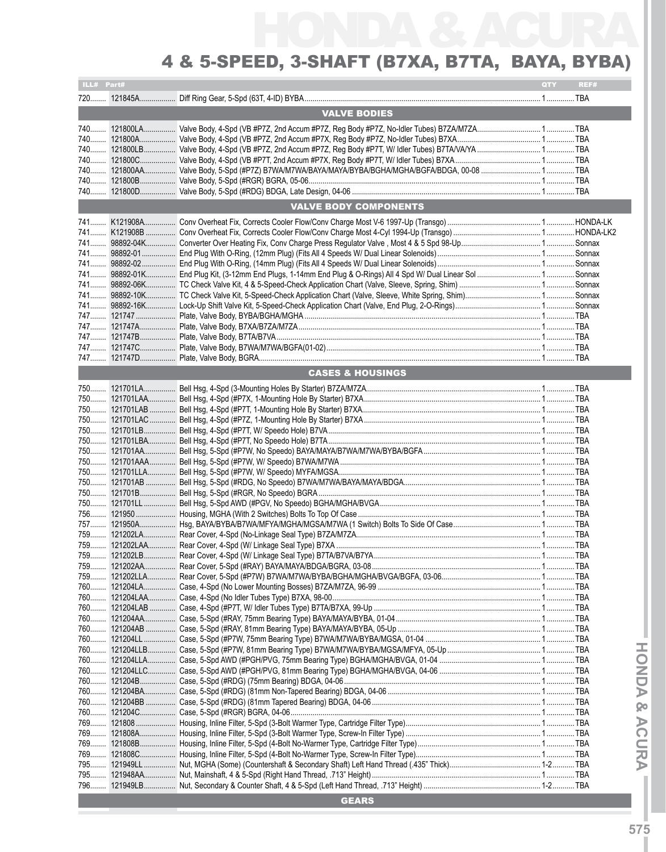| ILL# Part# |                                                                                                       | QTY | REF# |
|------------|-------------------------------------------------------------------------------------------------------|-----|------|
|            |                                                                                                       |     |      |
|            | <b>VALVE BODIES</b>                                                                                   |     |      |
|            |                                                                                                       |     |      |
|            | 740 121800LA Valve Body, 4-Spd (VB #P7Z, 2nd Accum #P7Z, Reg Body #P7Z, No-Idler Tubes) B7ZA/M7ZA TBA |     |      |
|            |                                                                                                       |     |      |
|            |                                                                                                       |     |      |
| 740        |                                                                                                       |     |      |
|            |                                                                                                       |     |      |
|            |                                                                                                       |     |      |
|            |                                                                                                       |     |      |
|            | <b>VALVE BODY COMPONENTS</b>                                                                          |     |      |
|            |                                                                                                       |     |      |
|            |                                                                                                       |     |      |
|            |                                                                                                       |     |      |
|            |                                                                                                       |     |      |
|            |                                                                                                       |     |      |
|            |                                                                                                       |     |      |
|            |                                                                                                       |     |      |
|            |                                                                                                       |     |      |
|            |                                                                                                       |     |      |
|            |                                                                                                       |     |      |
|            |                                                                                                       |     |      |
|            |                                                                                                       |     |      |
|            |                                                                                                       |     |      |
|            |                                                                                                       |     |      |
|            | <b>CASES &amp; HOUSINGS</b>                                                                           |     |      |
|            |                                                                                                       |     |      |
|            |                                                                                                       |     |      |
|            |                                                                                                       |     |      |
|            |                                                                                                       |     |      |
|            |                                                                                                       |     |      |
|            |                                                                                                       |     |      |
|            |                                                                                                       |     |      |
|            |                                                                                                       |     |      |
|            |                                                                                                       |     |      |
|            |                                                                                                       |     |      |
|            |                                                                                                       |     |      |
|            |                                                                                                       |     |      |
|            |                                                                                                       |     |      |
|            |                                                                                                       |     |      |
|            |                                                                                                       |     |      |
|            |                                                                                                       |     |      |
|            |                                                                                                       |     |      |
|            |                                                                                                       |     |      |
|            |                                                                                                       |     |      |
|            |                                                                                                       |     |      |
|            |                                                                                                       |     |      |
|            |                                                                                                       |     |      |
|            |                                                                                                       |     |      |
|            |                                                                                                       |     |      |
|            |                                                                                                       |     |      |
|            |                                                                                                       |     |      |
|            |                                                                                                       |     |      |
|            |                                                                                                       |     |      |
|            |                                                                                                       |     |      |
|            |                                                                                                       |     |      |
|            |                                                                                                       |     |      |
|            |                                                                                                       |     |      |
|            |                                                                                                       |     |      |
|            |                                                                                                       |     |      |
|            |                                                                                                       |     |      |
|            |                                                                                                       |     |      |
|            |                                                                                                       |     |      |
| 795        |                                                                                                       |     |      |
|            |                                                                                                       |     |      |
|            | <b>GEARS</b>                                                                                          |     |      |
|            |                                                                                                       |     |      |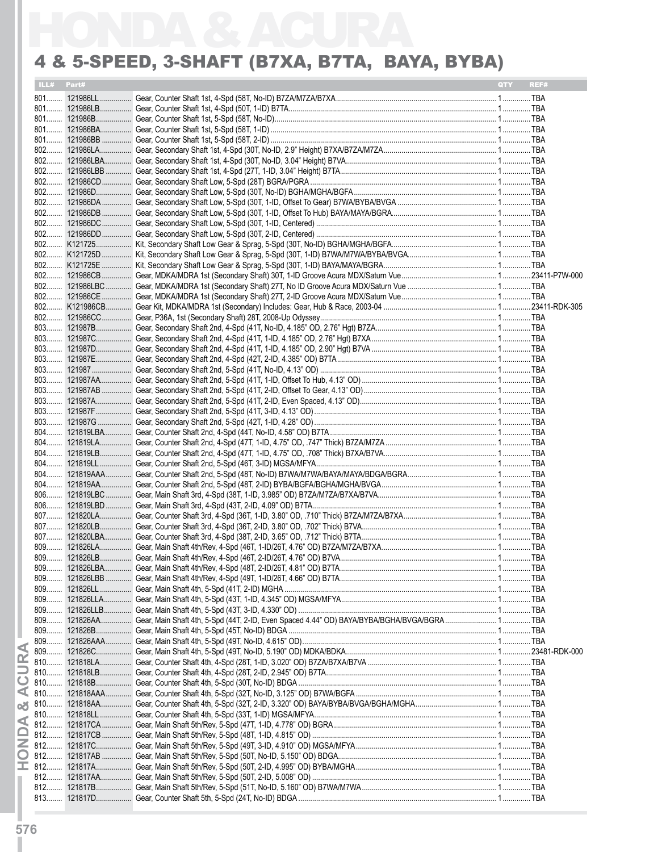|       | ILL# Part# | <b>OTY</b><br>REF# |  |
|-------|------------|--------------------|--|
|       |            |                    |  |
|       |            |                    |  |
|       |            |                    |  |
|       |            |                    |  |
|       |            |                    |  |
|       |            |                    |  |
|       |            |                    |  |
|       |            |                    |  |
|       |            |                    |  |
|       |            |                    |  |
|       |            |                    |  |
|       |            |                    |  |
|       |            |                    |  |
|       |            |                    |  |
|       |            |                    |  |
|       |            |                    |  |
|       |            |                    |  |
|       |            |                    |  |
|       |            |                    |  |
|       |            |                    |  |
|       |            |                    |  |
|       |            |                    |  |
|       |            |                    |  |
|       |            |                    |  |
|       |            |                    |  |
|       |            |                    |  |
|       |            |                    |  |
|       |            |                    |  |
|       |            |                    |  |
|       |            |                    |  |
|       |            |                    |  |
|       |            |                    |  |
|       |            |                    |  |
|       |            |                    |  |
|       |            |                    |  |
|       |            |                    |  |
|       |            |                    |  |
|       |            |                    |  |
|       |            |                    |  |
|       |            |                    |  |
|       |            |                    |  |
|       |            |                    |  |
|       |            |                    |  |
|       |            |                    |  |
|       |            |                    |  |
|       |            |                    |  |
|       |            |                    |  |
| $809$ |            |                    |  |
|       |            |                    |  |
|       |            |                    |  |
| 810   |            |                    |  |
|       |            |                    |  |
|       |            |                    |  |
|       |            |                    |  |
|       |            |                    |  |
|       |            |                    |  |
| $812$ |            |                    |  |
|       |            |                    |  |
|       |            |                    |  |
|       |            |                    |  |
|       |            |                    |  |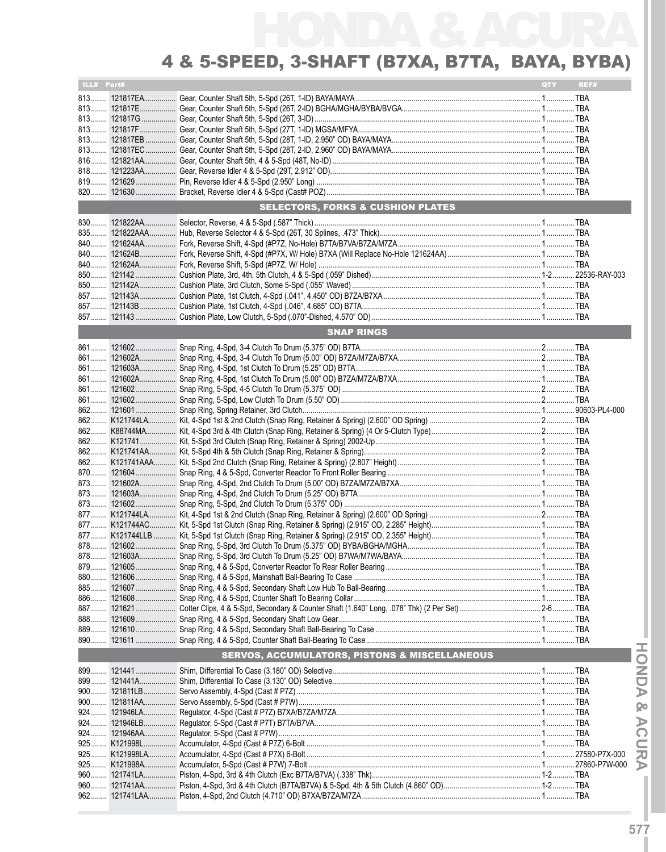### 4 & 5-SPEED, 3-SHAFT (B7XA, B7TA, BAYA, BYBA)

| ILL# Part# |              |                                                          | QTY | REF# |
|------------|--------------|----------------------------------------------------------|-----|------|
|            |              |                                                          |     |      |
|            |              |                                                          |     |      |
|            |              |                                                          |     |      |
|            |              |                                                          |     |      |
|            |              |                                                          |     |      |
|            |              |                                                          |     |      |
|            |              |                                                          |     |      |
|            |              |                                                          |     |      |
|            |              |                                                          |     |      |
|            |              |                                                          |     |      |
|            |              | <b>SELECTORS, FORKS &amp; CUSHION PLATES</b>             |     |      |
|            |              |                                                          |     |      |
|            |              |                                                          |     |      |
|            |              |                                                          |     |      |
|            |              |                                                          |     |      |
|            |              |                                                          |     |      |
|            |              |                                                          |     |      |
|            |              |                                                          |     |      |
|            |              |                                                          |     |      |
|            |              |                                                          |     |      |
|            |              | <b>SNAP RINGS</b>                                        |     |      |
|            |              |                                                          |     |      |
|            |              |                                                          |     |      |
|            |              |                                                          |     |      |
|            |              |                                                          |     |      |
|            |              |                                                          |     |      |
|            |              |                                                          |     |      |
|            |              |                                                          |     |      |
|            |              |                                                          |     |      |
|            |              |                                                          |     |      |
|            |              |                                                          |     |      |
|            |              |                                                          |     |      |
|            |              |                                                          |     |      |
|            |              |                                                          |     |      |
|            |              |                                                          |     |      |
|            |              |                                                          |     |      |
|            |              |                                                          |     |      |
|            |              |                                                          |     |      |
|            |              |                                                          |     |      |
|            |              |                                                          |     |      |
|            |              |                                                          |     |      |
|            |              |                                                          |     |      |
|            |              |                                                          |     |      |
| 885        |              |                                                          |     |      |
|            |              |                                                          |     |      |
| 888        | 121609       |                                                          |     |      |
|            |              |                                                          |     |      |
|            |              |                                                          |     |      |
|            |              | <b>SERVOS, ACCUMULATORS, PISTONS &amp; MISCELLANEOUS</b> |     |      |
|            |              |                                                          |     |      |
| 899        | 121441A      |                                                          |     |      |
| 900        | 121811LB     |                                                          |     |      |
|            | 900 121811AA |                                                          |     |      |
|            | 924 121946LA |                                                          |     |      |
|            | 924 121946LB |                                                          |     |      |
|            |              |                                                          |     |      |
|            |              |                                                          |     |      |
|            |              |                                                          |     |      |
|            |              |                                                          |     |      |
| 960        |              |                                                          |     |      |
|            |              |                                                          |     |      |
|            |              |                                                          |     |      |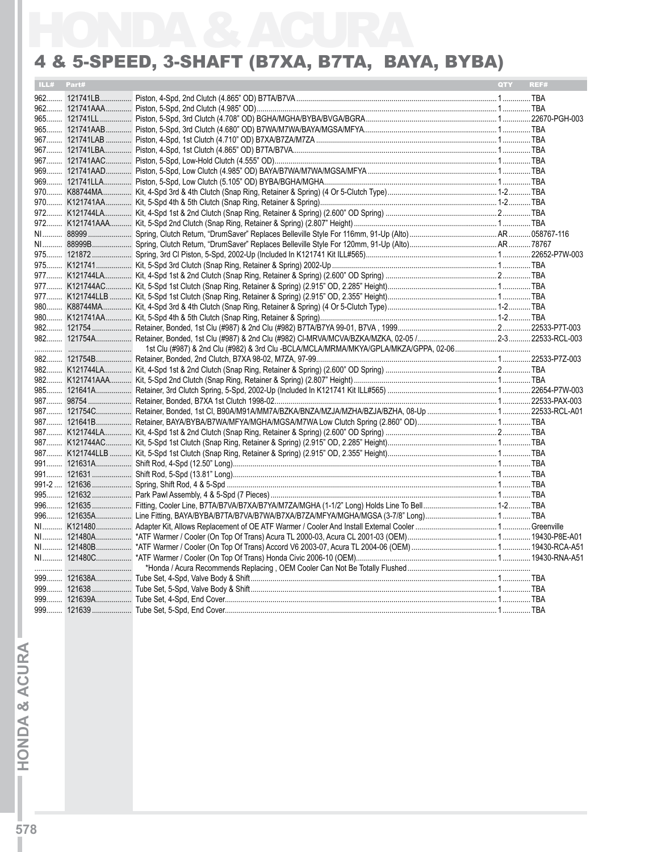| ILL# Part# | <b>QTY</b> | REF# |
|------------|------------|------|
|            |            |      |
|            |            |      |
|            |            |      |
|            |            |      |
|            |            |      |
|            |            |      |
|            |            |      |
|            |            |      |
|            |            |      |
|            |            |      |
|            |            |      |
|            |            |      |
|            |            |      |
|            |            |      |
|            |            |      |
|            |            |      |
|            |            |      |
|            |            |      |
|            |            |      |
|            |            |      |
|            |            |      |
|            |            |      |
|            |            |      |
|            |            |      |
|            |            |      |
|            |            |      |
|            |            |      |
|            |            |      |
|            |            |      |
|            |            |      |
|            |            |      |
|            |            |      |
|            |            |      |
|            |            |      |
|            |            |      |
|            |            |      |
|            |            |      |
|            |            |      |
|            |            |      |
|            |            |      |
|            |            |      |
|            |            |      |
|            |            |      |
|            |            |      |
|            |            |      |
|            |            |      |